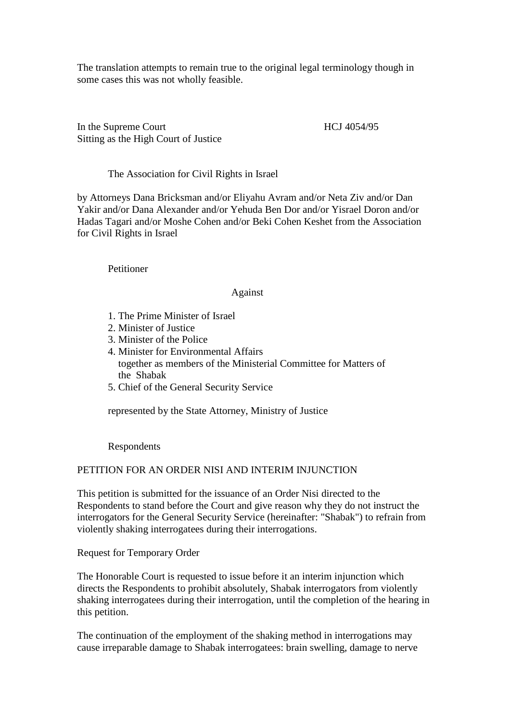The translation attempts to remain true to the original legal terminology though in some cases this was not wholly feasible.

In the Supreme Court HCJ 4054/95 Sitting as the High Court of Justice

# The Association for Civil Rights in Israel

by Attorneys Dana Bricksman and/or Eliyahu Avram and/or Neta Ziv and/or Dan Yakir and/or Dana Alexander and/or Yehuda Ben Dor and/or Yisrael Doron and/or Hadas Tagari and/or Moshe Cohen and/or Beki Cohen Keshet from the Association for Civil Rights in Israel

Petitioner

### Against

- 1. The Prime Minister of Israel
- 2. Minister of Justice
- 3. Minister of the Police
- 4. Minister for Environmental Affairs together as members of the Ministerial Committee for Matters of the Shabak
- 5. Chief of the General Security Service

represented by the State Attorney, Ministry of Justice

Respondents

### PETITION FOR AN ORDER NISI AND INTERIM INJUNCTION

This petition is submitted for the issuance of an Order Nisi directed to the Respondents to stand before the Court and give reason why they do not instruct the interrogators for the General Security Service (hereinafter: "Shabak") to refrain from violently shaking interrogatees during their interrogations.

Request for Temporary Order

The Honorable Court is requested to issue before it an interim injunction which directs the Respondents to prohibit absolutely, Shabak interrogators from violently shaking interrogatees during their interrogation, until the completion of the hearing in this petition.

The continuation of the employment of the shaking method in interrogations may cause irreparable damage to Shabak interrogatees: brain swelling, damage to nerve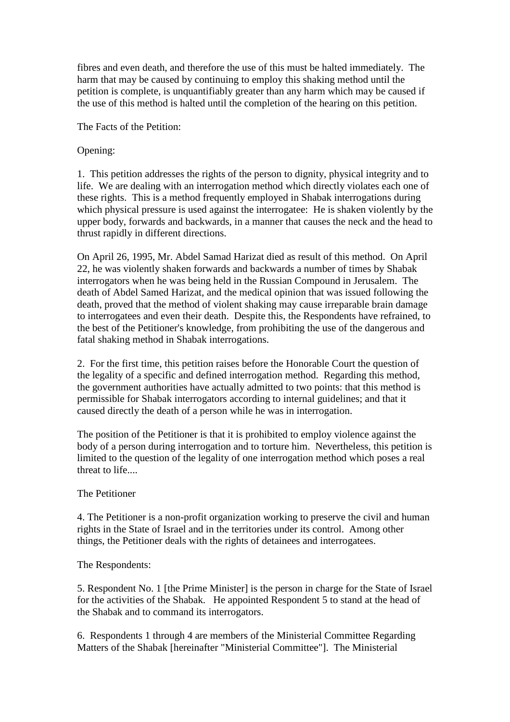fibres and even death, and therefore the use of this must be halted immediately. The harm that may be caused by continuing to employ this shaking method until the petition is complete, is unquantifiably greater than any harm which may be caused if the use of this method is halted until the completion of the hearing on this petition.

The Facts of the Petition:

# Opening:

1. This petition addresses the rights of the person to dignity, physical integrity and to life. We are dealing with an interrogation method which directly violates each one of these rights. This is a method frequently employed in Shabak interrogations during which physical pressure is used against the interrogatee: He is shaken violently by the upper body, forwards and backwards, in a manner that causes the neck and the head to thrust rapidly in different directions.

On April 26, 1995, Mr. Abdel Samad Harizat died as result of this method. On April 22, he was violently shaken forwards and backwards a number of times by Shabak interrogators when he was being held in the Russian Compound in Jerusalem. The death of Abdel Samed Harizat, and the medical opinion that was issued following the death, proved that the method of violent shaking may cause irreparable brain damage to interrogatees and even their death. Despite this, the Respondents have refrained, to the best of the Petitioner's knowledge, from prohibiting the use of the dangerous and fatal shaking method in Shabak interrogations.

2. For the first time, this petition raises before the Honorable Court the question of the legality of a specific and defined interrogation method. Regarding this method, the government authorities have actually admitted to two points: that this method is permissible for Shabak interrogators according to internal guidelines; and that it caused directly the death of a person while he was in interrogation.

The position of the Petitioner is that it is prohibited to employ violence against the body of a person during interrogation and to torture him. Nevertheless, this petition is limited to the question of the legality of one interrogation method which poses a real threat to life....

# The Petitioner

4. The Petitioner is a non-profit organization working to preserve the civil and human rights in the State of Israel and in the territories under its control. Among other things, the Petitioner deals with the rights of detainees and interrogatees.

# The Respondents:

5. Respondent No. 1 [the Prime Minister] is the person in charge for the State of Israel for the activities of the Shabak. He appointed Respondent 5 to stand at the head of the Shabak and to command its interrogators.

6. Respondents 1 through 4 are members of the Ministerial Committee Regarding Matters of the Shabak [hereinafter "Ministerial Committee"]. The Ministerial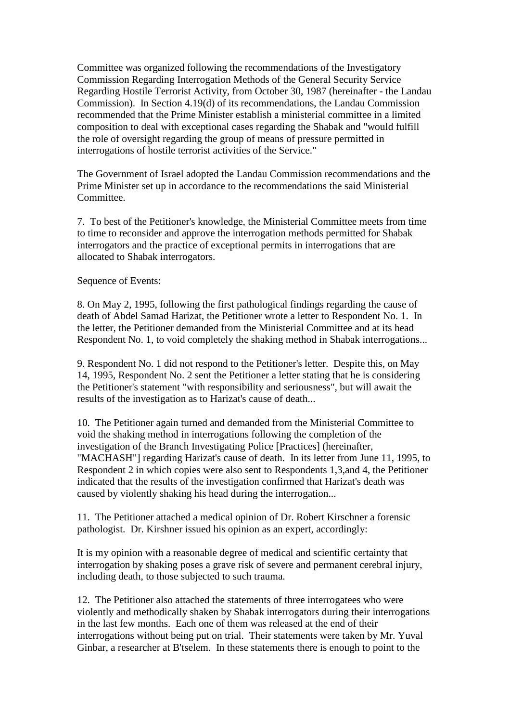Committee was organized following the recommendations of the Investigatory Commission Regarding Interrogation Methods of the General Security Service Regarding Hostile Terrorist Activity, from October 30, 1987 (hereinafter - the Landau Commission). In Section 4.19(d) of its recommendations, the Landau Commission recommended that the Prime Minister establish a ministerial committee in a limited composition to deal with exceptional cases regarding the Shabak and "would fulfill the role of oversight regarding the group of means of pressure permitted in interrogations of hostile terrorist activities of the Service."

The Government of Israel adopted the Landau Commission recommendations and the Prime Minister set up in accordance to the recommendations the said Ministerial Committee.

7. To best of the Petitioner's knowledge, the Ministerial Committee meets from time to time to reconsider and approve the interrogation methods permitted for Shabak interrogators and the practice of exceptional permits in interrogations that are allocated to Shabak interrogators.

Sequence of Events:

8. On May 2, 1995, following the first pathological findings regarding the cause of death of Abdel Samad Harizat, the Petitioner wrote a letter to Respondent No. 1. In the letter, the Petitioner demanded from the Ministerial Committee and at its head Respondent No. 1, to void completely the shaking method in Shabak interrogations...

9. Respondent No. 1 did not respond to the Petitioner's letter. Despite this, on May 14, 1995, Respondent No. 2 sent the Petitioner a letter stating that he is considering the Petitioner's statement "with responsibility and seriousness", but will await the results of the investigation as to Harizat's cause of death...

10. The Petitioner again turned and demanded from the Ministerial Committee to void the shaking method in interrogations following the completion of the investigation of the Branch Investigating Police [Practices] (hereinafter, "MACHASH"] regarding Harizat's cause of death. In its letter from June 11, 1995, to Respondent 2 in which copies were also sent to Respondents 1,3,and 4, the Petitioner indicated that the results of the investigation confirmed that Harizat's death was caused by violently shaking his head during the interrogation...

11. The Petitioner attached a medical opinion of Dr. Robert Kirschner a forensic pathologist. Dr. Kirshner issued his opinion as an expert, accordingly:

It is my opinion with a reasonable degree of medical and scientific certainty that interrogation by shaking poses a grave risk of severe and permanent cerebral injury, including death, to those subjected to such trauma.

12. The Petitioner also attached the statements of three interrogatees who were violently and methodically shaken by Shabak interrogators during their interrogations in the last few months. Each one of them was released at the end of their interrogations without being put on trial. Their statements were taken by Mr. Yuval Ginbar, a researcher at B'tselem. In these statements there is enough to point to the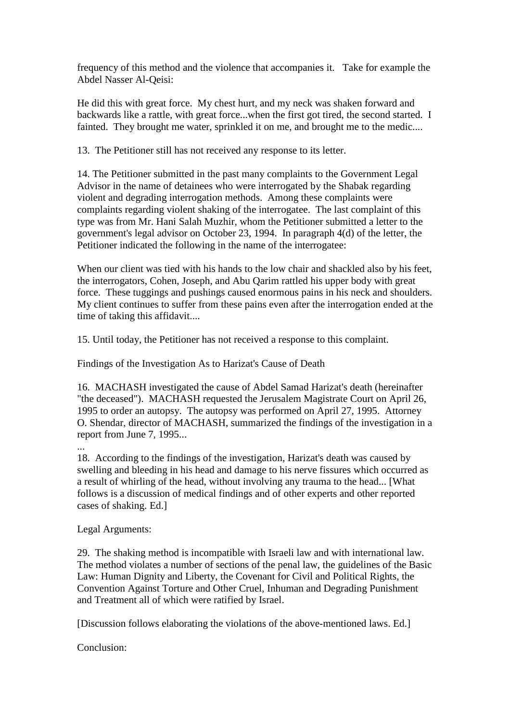frequency of this method and the violence that accompanies it. Take for example the Abdel Nasser Al-Qeisi:

He did this with great force. My chest hurt, and my neck was shaken forward and backwards like a rattle, with great force...when the first got tired, the second started. I fainted. They brought me water, sprinkled it on me, and brought me to the medic....

13. The Petitioner still has not received any response to its letter.

14. The Petitioner submitted in the past many complaints to the Government Legal Advisor in the name of detainees who were interrogated by the Shabak regarding violent and degrading interrogation methods. Among these complaints were complaints regarding violent shaking of the interrogatee. The last complaint of this type was from Mr. Hani Salah Muzhir, whom the Petitioner submitted a letter to the government's legal advisor on October 23, 1994. In paragraph 4(d) of the letter, the Petitioner indicated the following in the name of the interrogatee:

When our client was tied with his hands to the low chair and shackled also by his feet. the interrogators, Cohen, Joseph, and Abu Qarim rattled his upper body with great force. These tuggings and pushings caused enormous pains in his neck and shoulders. My client continues to suffer from these pains even after the interrogation ended at the time of taking this affidavit....

15. Until today, the Petitioner has not received a response to this complaint.

Findings of the Investigation As to Harizat's Cause of Death

16. MACHASH investigated the cause of Abdel Samad Harizat's death (hereinafter "the deceased"). MACHASH requested the Jerusalem Magistrate Court on April 26, 1995 to order an autopsy. The autopsy was performed on April 27, 1995. Attorney O. Shendar, director of MACHASH, summarized the findings of the investigation in a report from June 7, 1995...

18. According to the findings of the investigation, Harizat's death was caused by swelling and bleeding in his head and damage to his nerve fissures which occurred as a result of whirling of the head, without involving any trauma to the head... [What follows is a discussion of medical findings and of other experts and other reported cases of shaking. Ed.]

Legal Arguments:

...

29. The shaking method is incompatible with Israeli law and with international law. The method violates a number of sections of the penal law, the guidelines of the Basic Law: Human Dignity and Liberty, the Covenant for Civil and Political Rights, the Convention Against Torture and Other Cruel, Inhuman and Degrading Punishment and Treatment all of which were ratified by Israel.

[Discussion follows elaborating the violations of the above-mentioned laws. Ed.]

Conclusion: